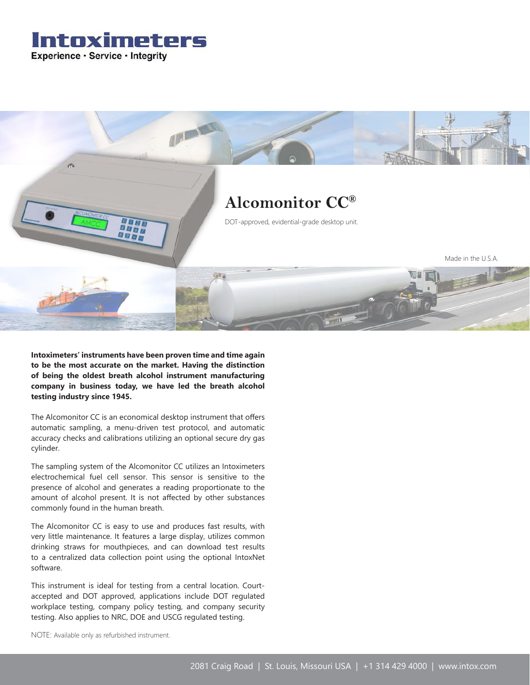Intoximeters Experience · Service · Integrity



**Intoximeters' instruments have been proven time and time again to be the most accurate on the market. Having the distinction of being the oldest breath alcohol instrument manufacturing company in business today, we have led the breath alcohol testing industry since 1945.**

The Alcomonitor CC is an economical desktop instrument that offers automatic sampling, a menu-driven test protocol, and automatic accuracy checks and calibrations utilizing an optional secure dry gas cylinder.

The sampling system of the Alcomonitor CC utilizes an Intoximeters electrochemical fuel cell sensor. This sensor is sensitive to the presence of alcohol and generates a reading proportionate to the amount of alcohol present. It is not affected by other substances commonly found in the human breath.

The Alcomonitor CC is easy to use and produces fast results, with very little maintenance. It features a large display, utilizes common drinking straws for mouthpieces, and can download test results to a centralized data collection point using the optional IntoxNet software.

This instrument is ideal for testing from a central location. Courtaccepted and DOT approved, applications include DOT regulated workplace testing, company policy testing, and company security testing. Also applies to NRC, DOE and USCG regulated testing.

NOTE: Available only as refurbished instrument.